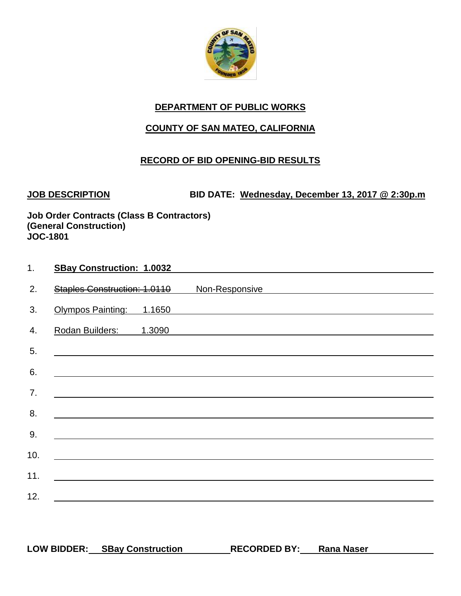

# **COUNTY OF SAN MATEO, CALIFORNIA**

### **RECORD OF BID OPENING-BID RESULTS**

**JOB DESCRIPTION BID DATE: Wednesday, December 13, 2017 @ 2:30p.m**

| 1.  | <b>SBay Construction: 1.0032</b> |        |                |
|-----|----------------------------------|--------|----------------|
| 2.  | Staples Construction: 1.0110     |        | Non-Responsive |
| 3.  | Olympos Painting: 1.1650         |        |                |
| 4.  | Rodan Builders:                  | 1.3090 |                |
| 5.  |                                  |        |                |
| 6.  |                                  |        |                |
| 7.  |                                  |        |                |
| 8.  |                                  |        |                |
| 9.  |                                  |        |                |
| 10. |                                  |        |                |
| 11. |                                  |        |                |
| 12. |                                  |        |                |
|     |                                  |        |                |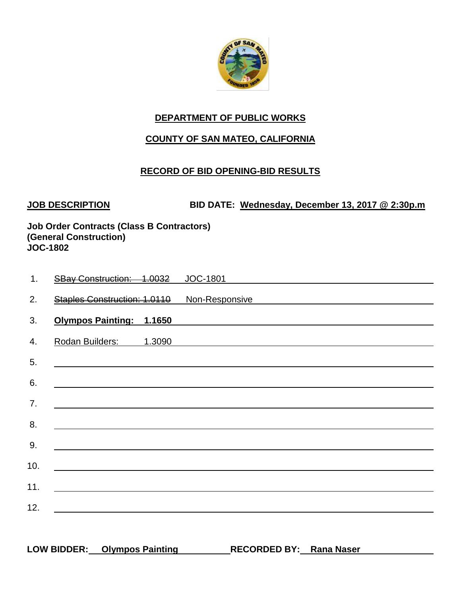

### **COUNTY OF SAN MATEO, CALIFORNIA**

### **RECORD OF BID OPENING-BID RESULTS**

**JOB DESCRIPTION BID DATE: Wednesday, December 13, 2017 @ 2:30p.m**

| 1.  | SBay Construction: 1.0032       |        | JOC-1801       |
|-----|---------------------------------|--------|----------------|
| 2.  | Staples Construction: 1.0110    |        | Non-Responsive |
| 3.  | <b>Olympos Painting: 1.1650</b> |        |                |
| 4.  | Rodan Builders:                 | 1.3090 |                |
| 5.  |                                 |        |                |
| 6.  |                                 |        |                |
| 7.  |                                 |        |                |
|     |                                 |        |                |
| 8.  |                                 |        |                |
| 9.  |                                 |        |                |
| 10. |                                 |        |                |
| 11. |                                 |        |                |
| 12. |                                 |        |                |
|     |                                 |        |                |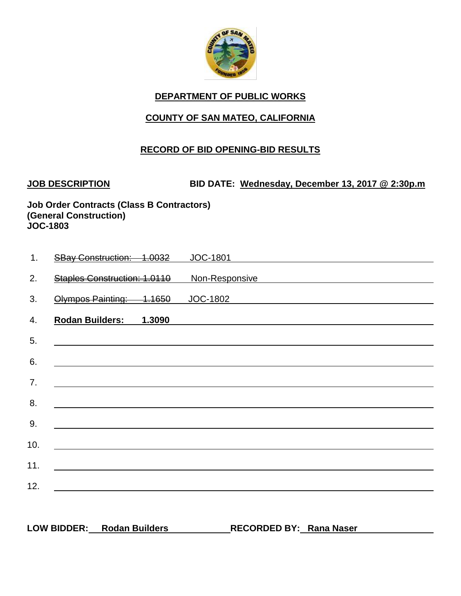

### **COUNTY OF SAN MATEO, CALIFORNIA**

#### **RECORD OF BID OPENING-BID RESULTS**

**JOB DESCRIPTION BID DATE: Wednesday, December 13, 2017 @ 2:30p.m**

**Job Order Contracts (Class B Contractors) (General Construction) JOC-1803**

| 1.  | <b>SBay Construction: 1.0032</b> |        | <b>JOC-1801</b> |
|-----|----------------------------------|--------|-----------------|
| 2.  | Staples Construction: 1.0110     |        | Non-Responsive  |
| 3.  | Olympos Painting: 1.1650         |        | <b>JOC-1802</b> |
| 4.  | <b>Rodan Builders:</b>           | 1.3090 |                 |
| 5.  |                                  |        |                 |
| 6.  |                                  |        |                 |
| 7.  |                                  |        |                 |
| 8.  |                                  |        |                 |
| 9.  |                                  |        |                 |
| 10. |                                  |        |                 |
| 11. |                                  |        |                 |
| 12. |                                  |        |                 |
|     |                                  |        |                 |

**LOW BIDDER: Rodan Builders RECORDED BY: Rana Naser**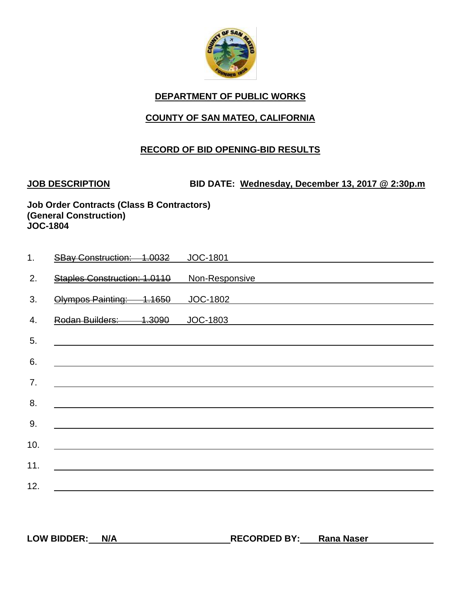

### **COUNTY OF SAN MATEO, CALIFORNIA**

#### **RECORD OF BID OPENING-BID RESULTS**

**JOB DESCRIPTION BID DATE: Wednesday, December 13, 2017 @ 2:30p.m**

| 1.  | <b>SBay Construction: 1.0032</b> |        | <b>JOC-1801</b> |
|-----|----------------------------------|--------|-----------------|
| 2.  | Staples Construction: 1.0110     |        | Non-Responsive  |
| 3.  | Olympos Painting:                | 1.1650 | <b>JOC-1802</b> |
| 4.  | <b>Rodan Builders:</b>           | 1.3090 | JOC-1803        |
| 5.  |                                  |        |                 |
| 6.  |                                  |        |                 |
| 7.  |                                  |        |                 |
| 8.  |                                  |        |                 |
| 9.  |                                  |        |                 |
| 10. |                                  |        |                 |
| 11. |                                  |        |                 |
| 12. |                                  |        |                 |
|     |                                  |        |                 |